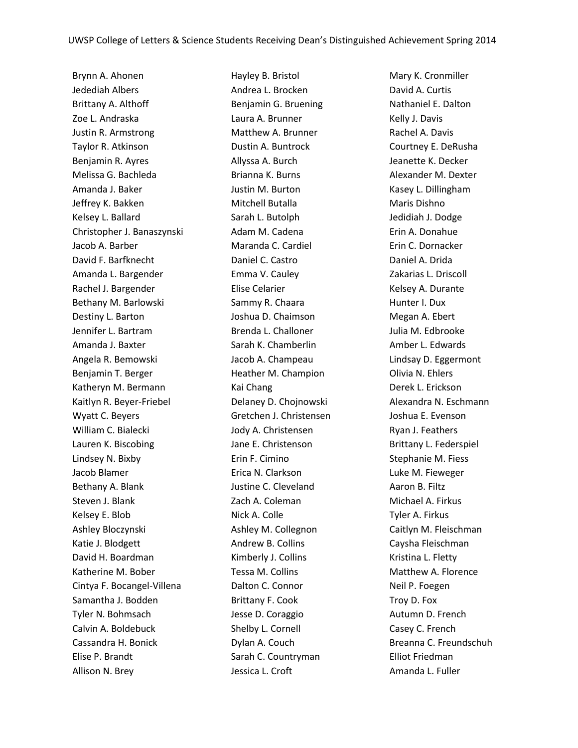Brynn A. Ahonen Jedediah Albers Brittany A. Althoff Zoe L. Andraska Justin R. Armstrong Taylor R. Atkinson Benjamin R. Ayres Melissa G. Bachleda Amanda J. Baker Jeffrey K. Bakken Kelsey L. Ballard Christopher J. Banaszynski Jacob A. Barber David F. Barfknecht Amanda L. Bargender Rachel J. Bargender Bethany M. Barlowski Destiny L. Barton Jennifer L. Bartram Amanda J. Baxter Angela R. Bemowski Benjamin T. Berger Katheryn M. Bermann Kaitlyn R. Beyer-Friebel Wyatt C. Beyers William C. Bialecki Lauren K. Biscobing Lindsey N. Bixby Jacob Blamer Bethany A. Blank Steven J. Blank Kelsey E. Blob Ashley Bloczynski Katie J. Blodgett David H. Boardman Katherine M. Bober Cintya F. Bocangel-Villena Samantha J. Bodden Tyler N. Bohmsach Calvin A. Boldebuck Cassandra H. Bonick Elise P. Brandt Allison N. Brey

Hayley B. Bristol Andrea L. Brocken Benjamin G. Bruening Laura A. Brunner Matthew A. Brunner Dustin A. Buntrock Allyssa A. Burch Brianna K. Burns Justin M. Burton Mitchell Butalla Sarah L. Butolph Adam M. Cadena Maranda C. Cardiel Daniel C. Castro Emma V. Cauley Elise Celarier Sammy R. Chaara Joshua D. Chaimson Brenda L. Challoner Sarah K. Chamberlin Jacob A. Champeau Heather M. Champion Kai Chang Delaney D. Chojnowski Gretchen J. Christensen Jody A. Christensen Jane E. Christenson Erin F. Cimino Erica N. Clarkson Justine C. Cleveland Zach A. Coleman Nick A. Colle Ashley M. Collegnon Andrew B. Collins Kimberly J. Collins Tessa M. Collins Dalton C. Connor Brittany F. Cook Jesse D. Coraggio Shelby L. Cornell Dylan A. Couch Sarah C. Countryman Jessica L. Croft

Mary K. Cronmiller David A. Curtis Nathaniel E. Dalton Kelly J. Davis Rachel A. Davis Courtney E. DeRusha Jeanette K. Decker Alexander M. Dexter Kasey L. Dillingham Maris Dishno Jedidiah J. Dodge Erin A. Donahue Erin C. Dornacker Daniel A. Drida Zakarias L. Driscoll Kelsey A. Durante Hunter I. Dux Megan A. Ebert Julia M. Edbrooke Amber L. Edwards Lindsay D. Eggermont Olivia N. Ehlers Derek L. Erickson Alexandra N. Eschmann Joshua E. Evenson Ryan J. Feathers Brittany L. Federspiel Stephanie M. Fiess Luke M. Fieweger Aaron B. Filtz Michael A. Firkus Tyler A. Firkus Caitlyn M. Fleischman Caysha Fleischman Kristina L. Fletty Matthew A. Florence Neil P. Foegen Troy D. Fox Autumn D. French Casey C. French Breanna C. Freundschuh Elliot Friedman Amanda L. Fuller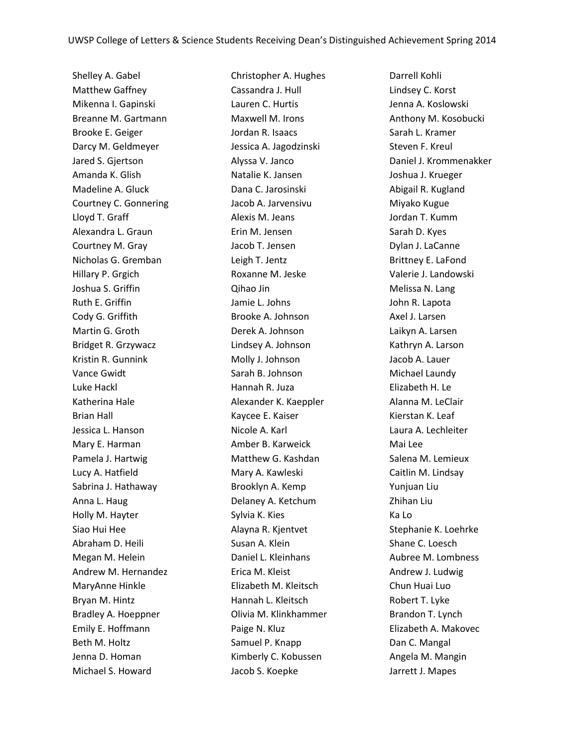Shelley A. Gabel Matthew Gaffney Mikenna I. Gapinski Breanne M. Gartmann Brooke E. Geiger Darcy M. Geldmeyer Jared S. Gjertson Amanda K. Glish Madeline A. Gluck Courtney C. Gonnering Lloyd T. Graff Alexandra L. Graun Courtney M. Gray Nicholas G. Gremban Hillary P. Grgich Joshua S. Griffin Ruth E. Griffin Cody G. Griffith Martin G. Groth Bridget R. Grzywacz Kristin R. Gunnink Vance Gwidt Luke Hackl Katherina Hale Brian Hall Jessica L. Hanson Mary E. Harman Pamela J. Hartwig Lucy A. Hatfield Sabrina J. Hathaway Anna L. Haug Holly M. Hayter Siao Hui Hee Abraham D. Heili Megan M. Helein Andrew M. Hernandez MaryAnne Hinkle Bryan M. Hintz Bradley A. Hoeppner Emily E. Hoffmann Beth M. Holtz Jenna D. Homan Michael S. Howard

Christopher A. Hughes Cassandra J. Hull Lauren C. Hurtis Maxwell M. Irons Jordan R. Isaacs Jessica A. Jagodzinski Alyssa V. Janco Natalie K. Jansen Dana C. Jarosinski Jacob A. Jarvensivu Alexis M. Jeans Erin M. Jensen Jacob T. Jensen Leigh T. Jentz Roxanne M. Jeske Qihao Jin Jamie L. Johns Brooke A. Johnson Derek A. Johnson Lindsey A. Johnson Molly J. Johnson Sarah B. Johnson Hannah R. Juza Alexander K. Kaeppler Kaycee E. Kaiser Nicole A. Karl Amber B. Karweick Matthew G. Kashdan Mary A. Kawleski Brooklyn A. Kemp Delaney A. Ketchum Sylvia K. Kies Alayna R. Kjentvet Susan A. Klein Daniel L. Kleinhans Erica M. Kleist Elizabeth M. Kleitsch Hannah L. Kleitsch Olivia M. Klinkhammer Paige N. Kluz Samuel P. Knapp Kimberly C. Kobussen Jacob S. Koepke

Darrell Kohli Lindsey C. Korst Jenna A. Koslowski Anthony M. Kosobucki Sarah L. Kramer Steven F. Kreul Daniel J. Krommenakker Joshua J. Krueger Abigail R. Kugland Miyako Kugue Jordan T. Kumm Sarah D. Kyes Dylan J. LaCanne Brittney E. LaFond Valerie J. Landowski Melissa N. Lang John R. Lapota Axel J. Larsen Laikyn A. Larsen Kathryn A. Larson Jacob A. Lauer Michael Laundy Elizabeth H. Le Alanna M. LeClair Kierstan K. Leaf Laura A. Lechleiter Mai Lee Salena M. Lemieux Caitlin M. Lindsay Yunjuan Liu Zhihan Liu Ka Lo Stephanie K. Loehrke Shane C. Loesch Aubree M. Lombness Andrew J. Ludwig Chun Huai Luo Robert T. Lyke Brandon T. Lynch Elizabeth A. Makovec Dan C. Mangal Angela M. Mangin Jarrett J. Mapes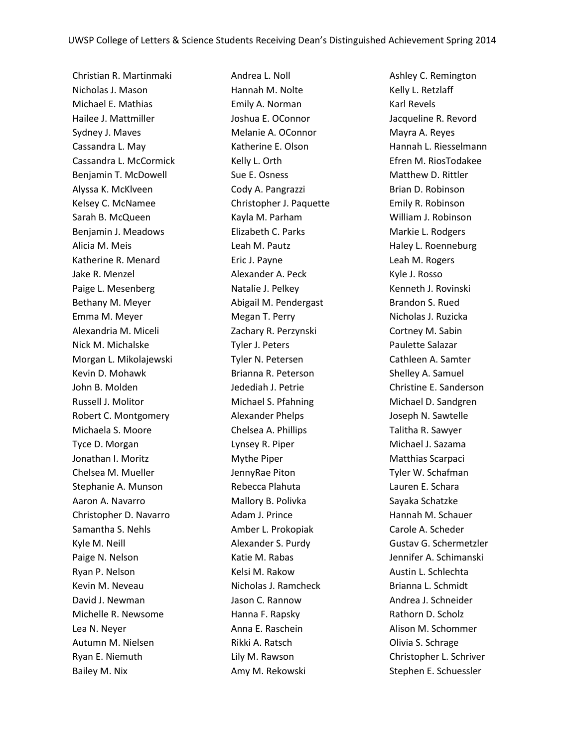Christian R. Martinmaki Nicholas J. Mason Michael E. Mathias Hailee J. Mattmiller Sydney J. Maves Cassandra L. May Cassandra L. McCormick Benjamin T. McDowell Alyssa K. McKlveen Kelsey C. McNamee Sarah B. McQueen Benjamin J. Meadows Alicia M. Meis Katherine R. Menard Jake R. Menzel Paige L. Mesenberg Bethany M. Meyer Emma M. Meyer Alexandria M. Miceli Nick M. Michalske Morgan L. Mikolajewski Kevin D. Mohawk John B. Molden Russell J. Molitor Robert C. Montgomery Michaela S. Moore Tyce D. Morgan Jonathan I. Moritz Chelsea M. Mueller Stephanie A. Munson Aaron A. Navarro Christopher D. Navarro Samantha S. Nehls Kyle M. Neill Paige N. Nelson Ryan P. Nelson Kevin M. Neveau David J. Newman Michelle R. Newsome Lea N. Neyer Autumn M. Nielsen Ryan E. Niemuth Bailey M. Nix

Andrea L. Noll Hannah M. Nolte Emily A. Norman Joshua E. OConnor Melanie A. OConnor Katherine E. Olson Kelly L. Orth Sue E. Osness Cody A. Pangrazzi Christopher J. Paquette Kayla M. Parham Elizabeth C. Parks Leah M. Pautz Eric J. Payne Alexander A. Peck Natalie J. Pelkey Abigail M. Pendergast Megan T. Perry Zachary R. Perzynski Tyler J. Peters Tyler N. Petersen Brianna R. Peterson Jedediah J. Petrie Michael S. Pfahning Alexander Phelps Chelsea A. Phillips Lynsey R. Piper Mythe Piper JennyRae Piton Rebecca Plahuta Mallory B. Polivka Adam J. Prince Amber L. Prokopiak Alexander S. Purdy Katie M. Rabas Kelsi M. Rakow Nicholas J. Ramcheck Jason C. Rannow Hanna F. Rapsky Anna E. Raschein Rikki A. Ratsch Lily M. Rawson Amy M. Rekowski

Ashley C. Remington Kelly L. Retzlaff Karl Revels Jacqueline R. Revord Mayra A. Reyes Hannah L. Riesselmann Efren M. RiosTodakee Matthew D. Rittler Brian D. Robinson Emily R. Robinson William J. Robinson Markie L. Rodgers Haley L. Roenneburg Leah M. Rogers Kyle J. Rosso Kenneth J. Rovinski Brandon S. Rued Nicholas J. Ruzicka Cortney M. Sabin Paulette Salazar Cathleen A. Samter Shelley A. Samuel Christine E. Sanderson Michael D. Sandgren Joseph N. Sawtelle Talitha R. Sawyer Michael J. Sazama Matthias Scarpaci Tyler W. Schafman Lauren E. Schara Sayaka Schatzke Hannah M. Schauer Carole A. Scheder Gustav G. Schermetzler Jennifer A. Schimanski Austin L. Schlechta Brianna L. Schmidt Andrea J. Schneider Rathorn D. Scholz Alison M. Schommer Olivia S. Schrage Christopher L. Schriver Stephen E. Schuessler